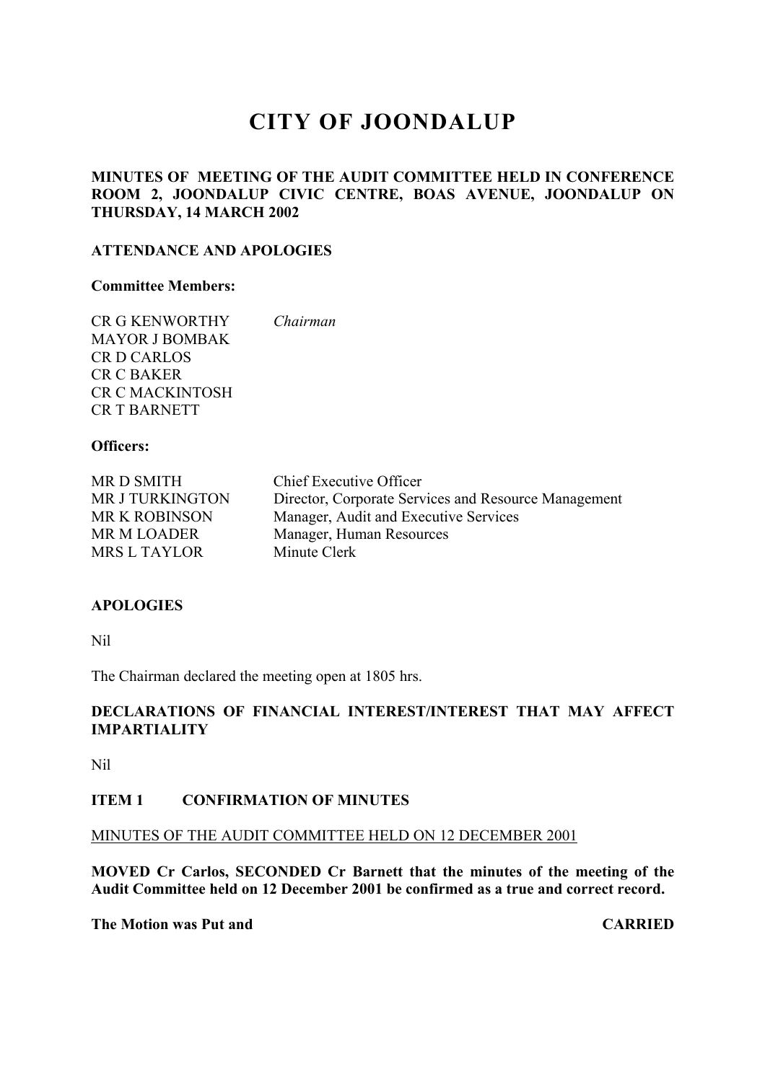# **CITY OF JOONDALUP**

# **MINUTES OF MEETING OF THE AUDIT COMMITTEE HELD IN CONFERENCE ROOM 2, JOONDALUP CIVIC CENTRE, BOAS AVENUE, JOONDALUP ON THURSDAY, 14 MARCH 2002**

# **ATTENDANCE AND APOLOGIES**

#### **Committee Members:**

| <b>CR G KENWORTHY</b>  | Chairman |
|------------------------|----------|
| <b>MAYOR J BOMBAK</b>  |          |
| <b>CRD CARLOS</b>      |          |
| CR C BAKER             |          |
| <b>CR C MACKINTOSH</b> |          |
| <b>CR T BARNETT</b>    |          |

# **Officers:**

| MR D SMITH             | Chief Executive Officer                              |
|------------------------|------------------------------------------------------|
| <b>MR J TURKINGTON</b> | Director, Corporate Services and Resource Management |
| <b>MR K ROBINSON</b>   | Manager, Audit and Executive Services                |
| <b>MR M LOADER</b>     | Manager, Human Resources                             |
| <b>MRS L TAYLOR</b>    | Minute Clerk                                         |

# **APOLOGIES**

Nil

The Chairman declared the meeting open at 1805 hrs.

# **DECLARATIONS OF FINANCIAL INTEREST/INTEREST THAT MAY AFFECT IMPARTIALITY**

Nil

# **ITEM 1 CONFIRMATION OF MINUTES**

# MINUTES OF THE AUDIT COMMITTEE HELD ON 12 DECEMBER 2001

**MOVED Cr Carlos, SECONDED Cr Barnett that the minutes of the meeting of the Audit Committee held on 12 December 2001 be confirmed as a true and correct record.**

**The Motion was Put and CARRIED**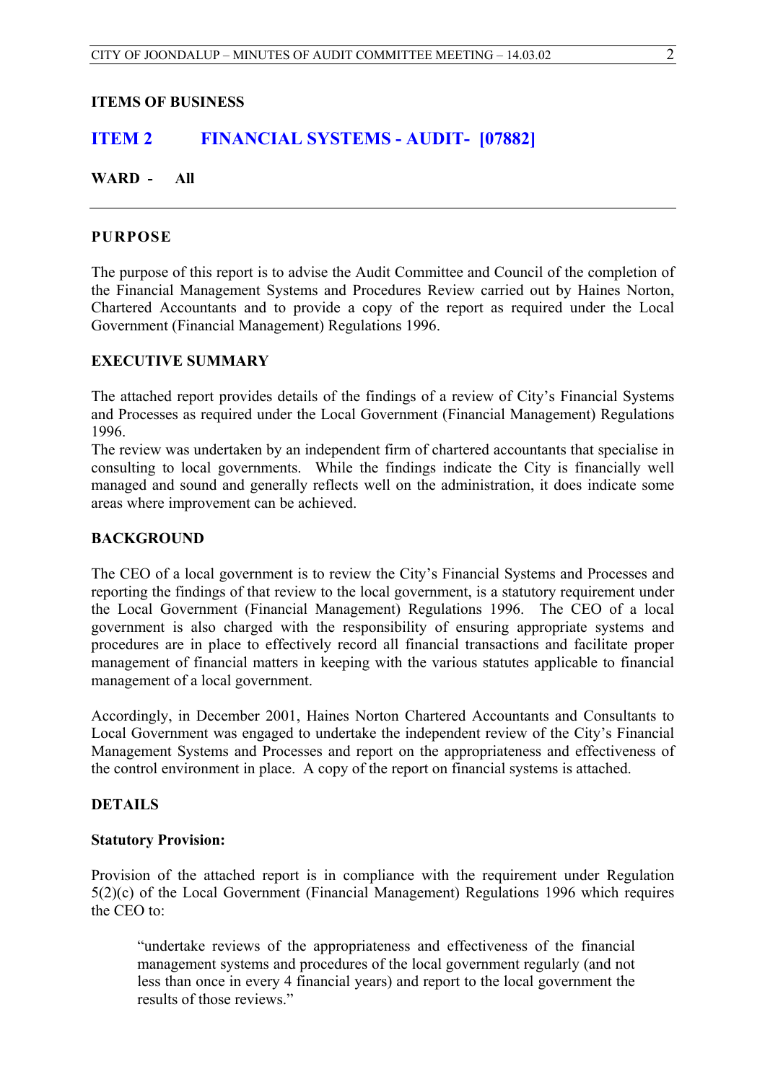**ITEMS OF BUSINESS**

# **ITEM 2 FINANCIAL SYSTEMS - AUDIT- [07882]**

# **WARD - All**

# **PURPOSE**

The purpose of this report is to advise the Audit Committee and Council of the completion of the Financial Management Systems and Procedures Review carried out by Haines Norton, Chartered Accountants and to provide a copy of the report as required under the Local Government (Financial Management) Regulations 1996.

# **EXECUTIVE SUMMARY**

The attached report provides details of the findings of a review of City's Financial Systems and Processes as required under the Local Government (Financial Management) Regulations 1996.

The review was undertaken by an independent firm of chartered accountants that specialise in consulting to local governments. While the findings indicate the City is financially well managed and sound and generally reflects well on the administration, it does indicate some areas where improvement can be achieved.

# **BACKGROUND**

The CEO of a local government is to review the City's Financial Systems and Processes and reporting the findings of that review to the local government, is a statutory requirement under the Local Government (Financial Management) Regulations 1996. The CEO of a local government is also charged with the responsibility of ensuring appropriate systems and procedures are in place to effectively record all financial transactions and facilitate proper management of financial matters in keeping with the various statutes applicable to financial management of a local government.

Accordingly, in December 2001, Haines Norton Chartered Accountants and Consultants to Local Government was engaged to undertake the independent review of the City's Financial Management Systems and Processes and report on the appropriateness and effectiveness of the control environment in place. A copy of the report on financial systems is attached.

# **DETAILS**

# **Statutory Provision:**

Provision of the attached report is in compliance with the requirement under Regulation 5(2)(c) of the Local Government (Financial Management) Regulations 1996 which requires the CEO to:

"undertake reviews of the appropriateness and effectiveness of the financial management systems and procedures of the local government regularly (and not less than once in every 4 financial years) and report to the local government the results of those reviews."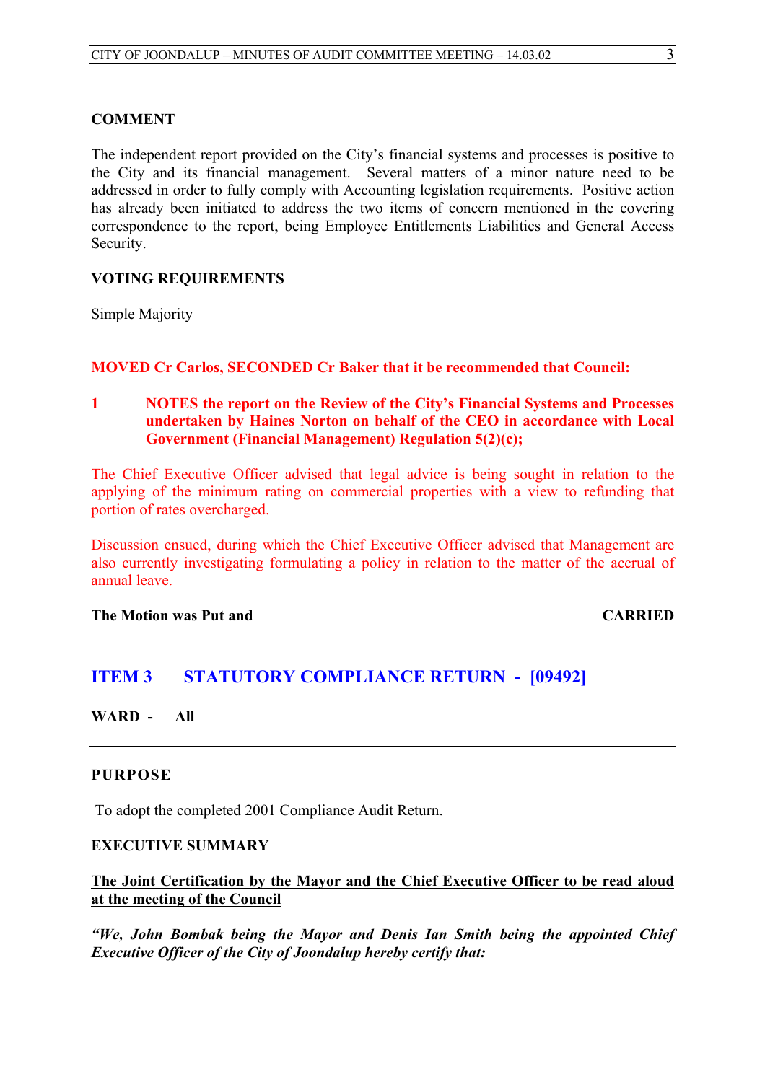#### **COMMENT**

The independent report provided on the City's financial systems and processes is positive to the City and its financial management. Several matters of a minor nature need to be addressed in order to fully comply with Accounting legislation requirements. Positive action has already been initiated to address the two items of concern mentioned in the covering correspondence to the report, being Employee Entitlements Liabilities and General Access Security.

# **VOTING REQUIREMENTS**

Simple Majority

# **MOVED Cr Carlos, SECONDED Cr Baker that it be recommended that Council:**

**1 NOTES the report on the Review of the City's Financial Systems and Processes undertaken by Haines Norton on behalf of the CEO in accordance with Local Government (Financial Management) Regulation 5(2)(c);**

The Chief Executive Officer advised that legal advice is being sought in relation to the applying of the minimum rating on commercial properties with a view to refunding that portion of rates overcharged.

Discussion ensued, during which the Chief Executive Officer advised that Management are also currently investigating formulating a policy in relation to the matter of the accrual of annual leave.

**The Motion was Put and CARRIED** 

# **ITEM 3 STATUTORY COMPLIANCE RETURN - [09492]**

**WARD - All**

# **PURPOSE**

To adopt the completed 2001 Compliance Audit Return.

# **EXECUTIVE SUMMARY**

# **The Joint Certification by the Mayor and the Chief Executive Officer to be read aloud at the meeting of the Council**

*"We, John Bombak being the Mayor and Denis Ian Smith being the appointed Chief Executive Officer of the City of Joondalup hereby certify that:*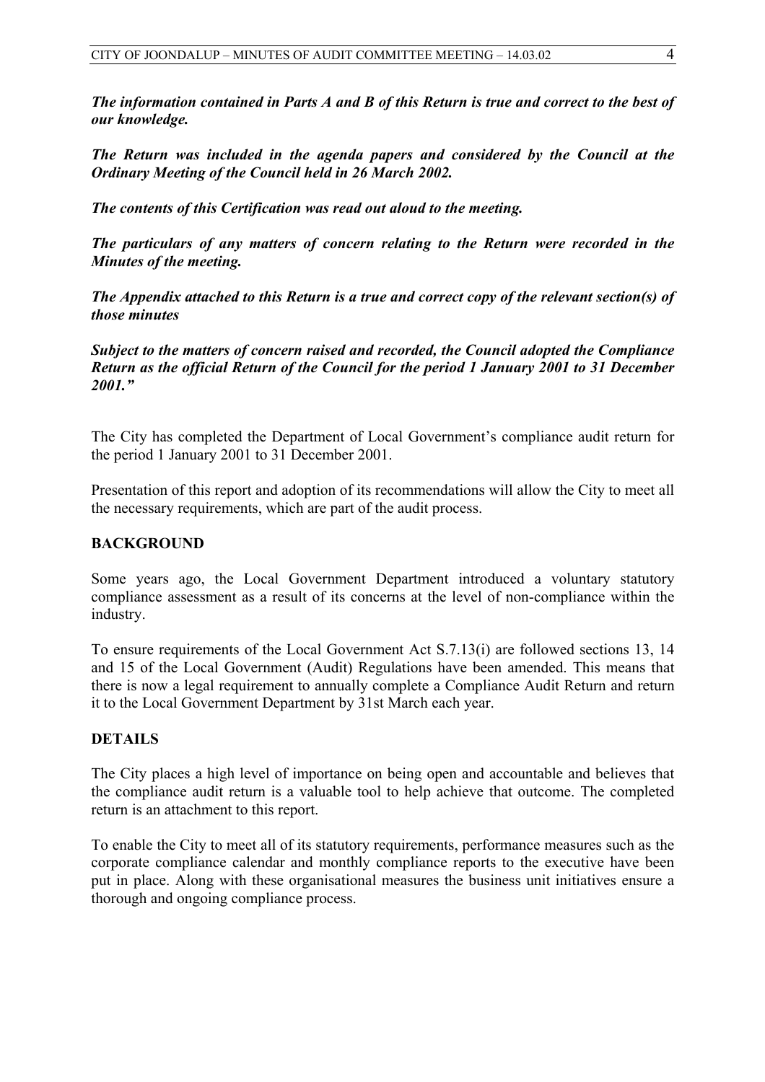*The information contained in Parts A and B of this Return is true and correct to the best of our knowledge.*

*The Return was included in the agenda papers and considered by the Council at the Ordinary Meeting of the Council held in 26 March 2002.*

*The contents of this Certification was read out aloud to the meeting.*

*The particulars of any matters of concern relating to the Return were recorded in the Minutes of the meeting.*

*The Appendix attached to this Return is a true and correct copy of the relevant section(s) of those minutes*

*Subject to the matters of concern raised and recorded, the Council adopted the Compliance Return as the official Return of the Council for the period 1 January 2001 to 31 December 2001."*

The City has completed the Department of Local Government's compliance audit return for the period 1 January 2001 to 31 December 2001.

Presentation of this report and adoption of its recommendations will allow the City to meet all the necessary requirements, which are part of the audit process.

# **BACKGROUND**

Some years ago, the Local Government Department introduced a voluntary statutory compliance assessment as a result of its concerns at the level of non-compliance within the industry.

To ensure requirements of the Local Government Act S.7.13(i) are followed sections 13, 14 and 15 of the Local Government (Audit) Regulations have been amended. This means that there is now a legal requirement to annually complete a Compliance Audit Return and return it to the Local Government Department by 31st March each year.

# **DETAILS**

The City places a high level of importance on being open and accountable and believes that the compliance audit return is a valuable tool to help achieve that outcome. The completed return is an attachment to this report.

To enable the City to meet all of its statutory requirements, performance measures such as the corporate compliance calendar and monthly compliance reports to the executive have been put in place. Along with these organisational measures the business unit initiatives ensure a thorough and ongoing compliance process.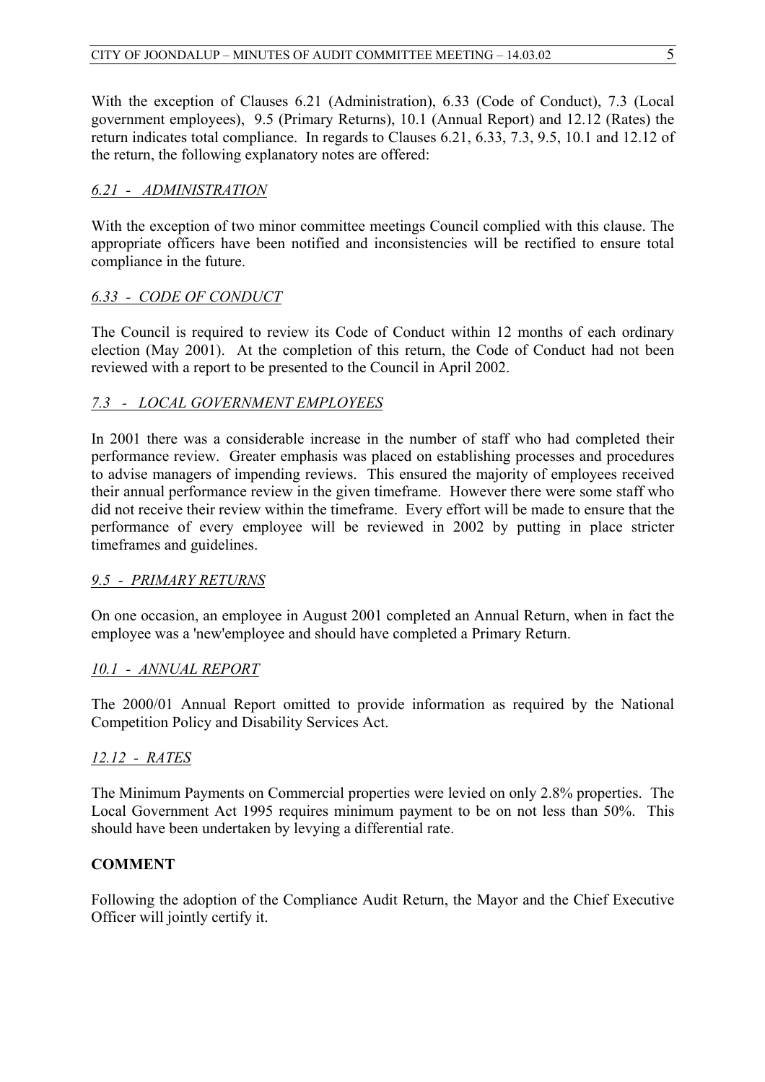With the exception of Clauses 6.21 (Administration), 6.33 (Code of Conduct), 7.3 (Local government employees), 9.5 (Primary Returns), 10.1 (Annual Report) and 12.12 (Rates) the return indicates total compliance. In regards to Clauses 6.21, 6.33, 7.3, 9.5, 10.1 and 12.12 of the return, the following explanatory notes are offered:

# *6.21 - ADMINISTRATION*

With the exception of two minor committee meetings Council complied with this clause. The appropriate officers have been notified and inconsistencies will be rectified to ensure total compliance in the future.

# *6.33 - CODE OF CONDUCT*

The Council is required to review its Code of Conduct within 12 months of each ordinary election (May 2001). At the completion of this return, the Code of Conduct had not been reviewed with a report to be presented to the Council in April 2002.

# *7.3 - LOCAL GOVERNMENT EMPLOYEES*

In 2001 there was a considerable increase in the number of staff who had completed their performance review. Greater emphasis was placed on establishing processes and procedures to advise managers of impending reviews. This ensured the majority of employees received their annual performance review in the given timeframe. However there were some staff who did not receive their review within the timeframe. Every effort will be made to ensure that the performance of every employee will be reviewed in 2002 by putting in place stricter timeframes and guidelines.

# *9.5 - PRIMARY RETURNS*

On one occasion, an employee in August 2001 completed an Annual Return, when in fact the employee was a 'new'employee and should have completed a Primary Return.

# *10.1 - ANNUAL REPORT*

The 2000/01 Annual Report omitted to provide information as required by the National Competition Policy and Disability Services Act.

# *12.12 - RATES*

The Minimum Payments on Commercial properties were levied on only 2.8% properties. The Local Government Act 1995 requires minimum payment to be on not less than 50%. This should have been undertaken by levying a differential rate.

# **COMMENT**

Following the adoption of the Compliance Audit Return, the Mayor and the Chief Executive Officer will jointly certify it.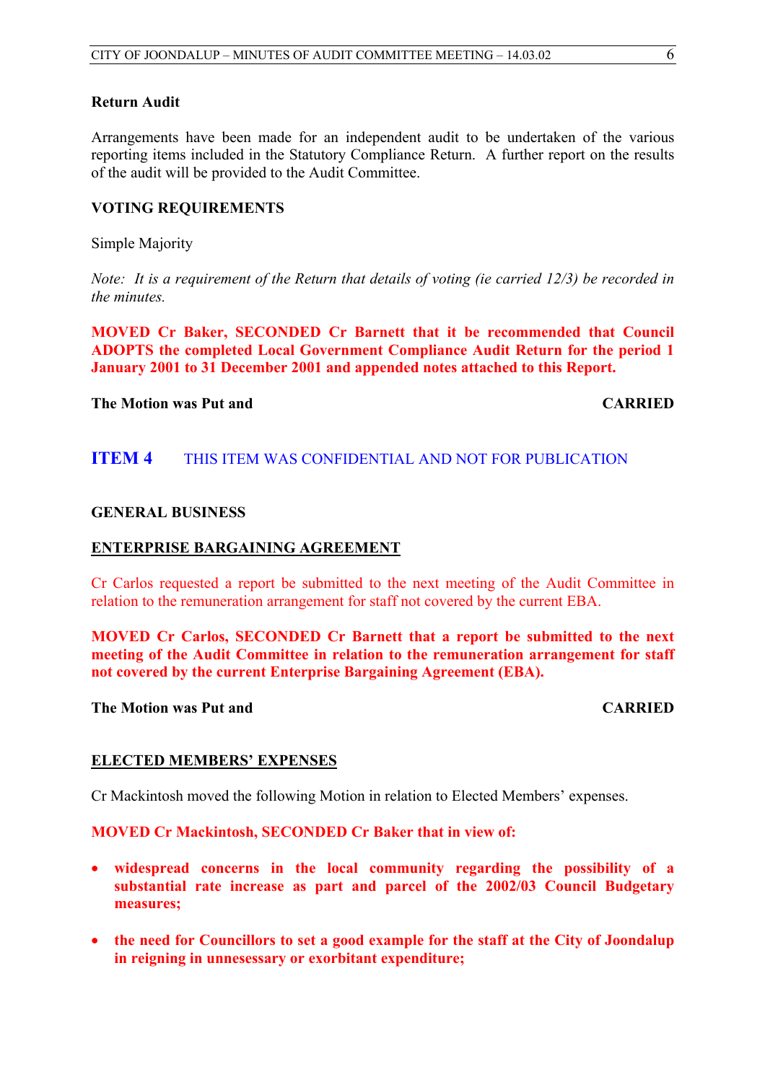# **Return Audit**

Arrangements have been made for an independent audit to be undertaken of the various reporting items included in the Statutory Compliance Return. A further report on the results of the audit will be provided to the Audit Committee.

#### **VOTING REQUIREMENTS**

Simple Majority

*Note: It is a requirement of the Return that details of voting (ie carried 12/3) be recorded in the minutes.*

**MOVED Cr Baker, SECONDED Cr Barnett that it be recommended that Council ADOPTS the completed Local Government Compliance Audit Return for the period 1 January 2001 to 31 December 2001 and appended notes attached to this Report.**

#### **The Motion was Put and CARRIED**

# **ITEM 4** THIS ITEM WAS CONFIDENTIAL AND NOT FOR PUBLICATION

#### **GENERAL BUSINESS**

#### **ENTERPRISE BARGAINING AGREEMENT**

Cr Carlos requested a report be submitted to the next meeting of the Audit Committee in relation to the remuneration arrangement for staff not covered by the current EBA.

**MOVED Cr Carlos, SECONDED Cr Barnett that a report be submitted to the next meeting of the Audit Committee in relation to the remuneration arrangement for staff not covered by the current Enterprise Bargaining Agreement (EBA).**

#### **The Motion was Put and CARRIED**

# **ELECTED MEMBERS' EXPENSES**

Cr Mackintosh moved the following Motion in relation to Elected Members' expenses.

# **MOVED Cr Mackintosh, SECONDED Cr Baker that in view of:**

- **widespread concerns in the local community regarding the possibility of a substantial rate increase as part and parcel of the 2002/03 Council Budgetary measures;**
- **the need for Councillors to set a good example for the staff at the City of Joondalup in reigning in unnesessary or exorbitant expenditure;**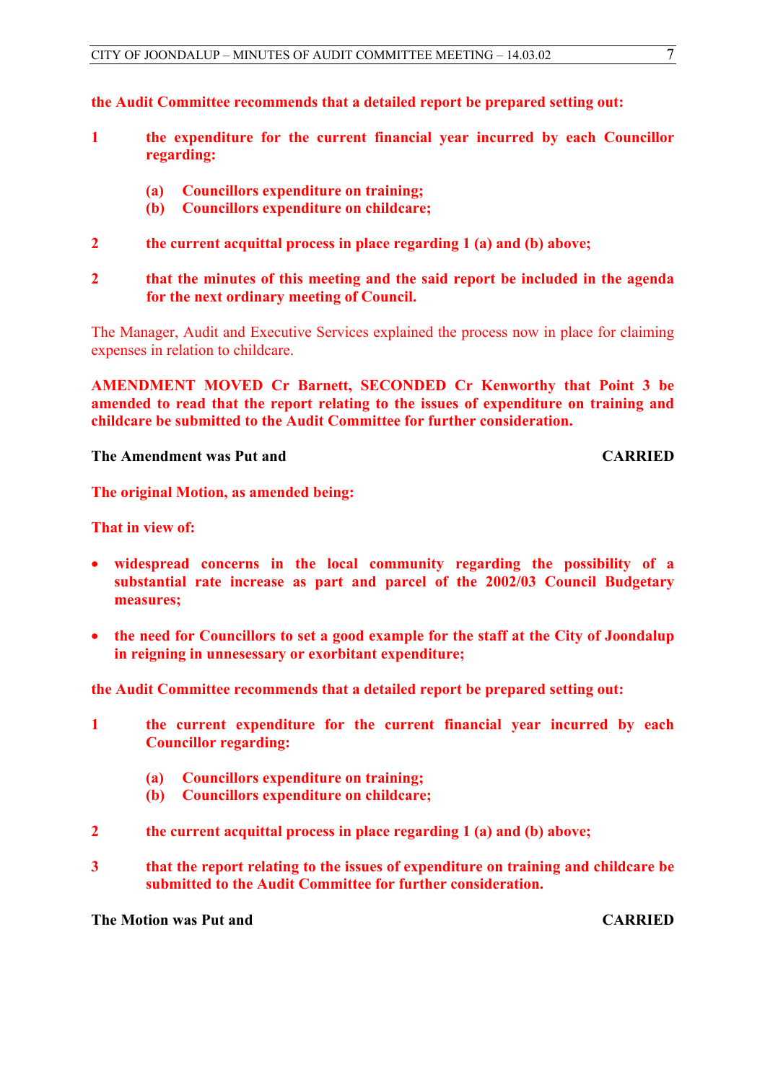**the Audit Committee recommends that a detailed report be prepared setting out:**

- **1 the expenditure for the current financial year incurred by each Councillor regarding:**
	- **(a) Councillors expenditure on training;**
	- **(b) Councillors expenditure on childcare;**
- **2 the current acquittal process in place regarding 1 (a) and (b) above;**

# **2 that the minutes of this meeting and the said report be included in the agenda for the next ordinary meeting of Council.**

The Manager, Audit and Executive Services explained the process now in place for claiming expenses in relation to childcare.

**AMENDMENT MOVED Cr Barnett, SECONDED Cr Kenworthy that Point 3 be amended to read that the report relating to the issues of expenditure on training and childcare be submitted to the Audit Committee for further consideration.**

**The Amendment was Put and CARRIED** 

**The original Motion, as amended being:**

**That in view of:**

- **widespread concerns in the local community regarding the possibility of a substantial rate increase as part and parcel of the 2002/03 Council Budgetary measures;**
- **the need for Councillors to set a good example for the staff at the City of Joondalup in reigning in unnesessary or exorbitant expenditure;**

**the Audit Committee recommends that a detailed report be prepared setting out:**

- **1 the current expenditure for the current financial year incurred by each Councillor regarding:**
	- **(a) Councillors expenditure on training;**
	- **(b) Councillors expenditure on childcare;**
- **2 the current acquittal process in place regarding 1 (a) and (b) above;**
- **3 that the report relating to the issues of expenditure on training and childcare be submitted to the Audit Committee for further consideration.**

**The Motion was Put and CARRIED**